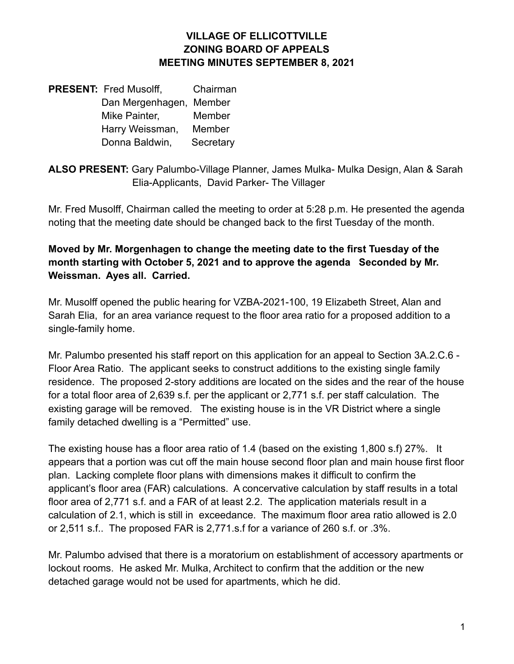### **VILLAGE OF ELLICOTTVILLE ZONING BOARD OF APPEALS MEETING MINUTES SEPTEMBER 8, 2021**

**PRESENT:** Fred Musolff, Chairman Dan Mergenhagen, Member Mike Painter, Member Harry Weissman, Member Donna Baldwin, Secretary

**ALSO PRESENT:** Gary Palumbo-Village Planner, James Mulka- Mulka Design, Alan & Sarah Elia-Applicants, David Parker- The Villager

Mr. Fred Musolff, Chairman called the meeting to order at 5:28 p.m. He presented the agenda noting that the meeting date should be changed back to the first Tuesday of the month.

**Moved by Mr. Morgenhagen to change the meeting date to the first Tuesday of the month starting with October 5, 2021 and to approve the agenda Seconded by Mr. Weissman. Ayes all. Carried.**

Mr. Musolff opened the public hearing for VZBA-2021-100, 19 Elizabeth Street, Alan and Sarah Elia, for an area variance request to the floor area ratio for a proposed addition to a single-family home.

Mr. Palumbo presented his staff report on this application for an appeal to Section 3A.2.C.6 - Floor Area Ratio. The applicant seeks to construct additions to the existing single family residence. The proposed 2-story additions are located on the sides and the rear of the house for a total floor area of 2,639 s.f. per the applicant or 2,771 s.f. per staff calculation. The existing garage will be removed. The existing house is in the VR District where a single family detached dwelling is a "Permitted" use.

The existing house has a floor area ratio of 1.4 (based on the existing 1,800 s.f) 27%. It appears that a portion was cut off the main house second floor plan and main house first floor plan. Lacking complete floor plans with dimensions makes it difficult to confirm the applicant's floor area (FAR) calculations. A concervative calculation by staff results in a total floor area of 2,771 s.f. and a FAR of at least 2.2. The application materials result in a calculation of 2.1, which is still in exceedance. The maximum floor area ratio allowed is 2.0 or 2,511 s.f.. The proposed FAR is 2,771.s.f for a variance of 260 s.f. or .3%.

Mr. Palumbo advised that there is a moratorium on establishment of accessory apartments or lockout rooms. He asked Mr. Mulka, Architect to confirm that the addition or the new detached garage would not be used for apartments, which he did.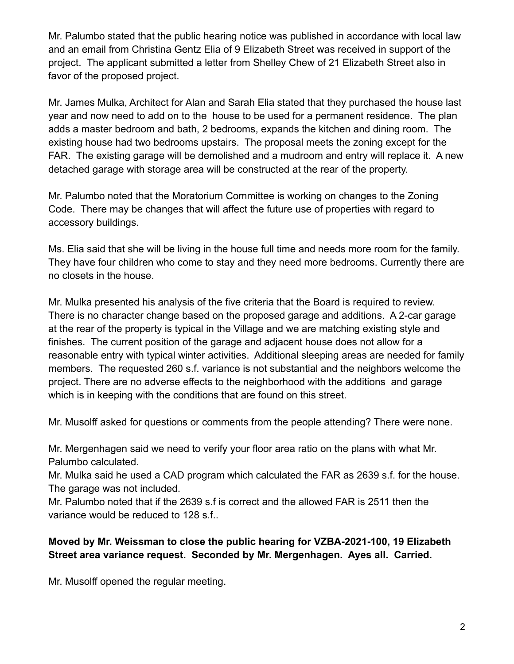Mr. Palumbo stated that the public hearing notice was published in accordance with local law and an email from Christina Gentz Elia of 9 Elizabeth Street was received in support of the project. The applicant submitted a letter from Shelley Chew of 21 Elizabeth Street also in favor of the proposed project.

Mr. James Mulka, Architect for Alan and Sarah Elia stated that they purchased the house last year and now need to add on to the house to be used for a permanent residence. The plan adds a master bedroom and bath, 2 bedrooms, expands the kitchen and dining room. The existing house had two bedrooms upstairs. The proposal meets the zoning except for the FAR. The existing garage will be demolished and a mudroom and entry will replace it. A new detached garage with storage area will be constructed at the rear of the property.

Mr. Palumbo noted that the Moratorium Committee is working on changes to the Zoning Code. There may be changes that will affect the future use of properties with regard to accessory buildings.

Ms. Elia said that she will be living in the house full time and needs more room for the family. They have four children who come to stay and they need more bedrooms. Currently there are no closets in the house.

Mr. Mulka presented his analysis of the five criteria that the Board is required to review. There is no character change based on the proposed garage and additions. A 2-car garage at the rear of the property is typical in the Village and we are matching existing style and finishes. The current position of the garage and adjacent house does not allow for a reasonable entry with typical winter activities. Additional sleeping areas are needed for family members. The requested 260 s.f. variance is not substantial and the neighbors welcome the project. There are no adverse effects to the neighborhood with the additions and garage which is in keeping with the conditions that are found on this street.

Mr. Musolff asked for questions or comments from the people attending? There were none.

Mr. Mergenhagen said we need to verify your floor area ratio on the plans with what Mr. Palumbo calculated.

Mr. Mulka said he used a CAD program which calculated the FAR as 2639 s.f. for the house. The garage was not included.

Mr. Palumbo noted that if the 2639 s.f is correct and the allowed FAR is 2511 then the variance would be reduced to 128 s.f..

# **Moved by Mr. Weissman to close the public hearing for VZBA-2021-100, 19 Elizabeth Street area variance request. Seconded by Mr. Mergenhagen. Ayes all. Carried.**

Mr. Musolff opened the regular meeting.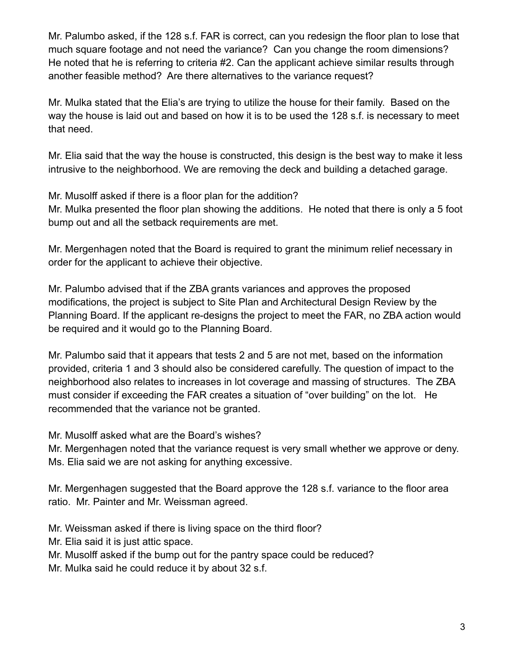Mr. Palumbo asked, if the 128 s.f. FAR is correct, can you redesign the floor plan to lose that much square footage and not need the variance? Can you change the room dimensions? He noted that he is referring to criteria #2. Can the applicant achieve similar results through another feasible method? Are there alternatives to the variance request?

Mr. Mulka stated that the Elia's are trying to utilize the house for their family. Based on the way the house is laid out and based on how it is to be used the 128 s.f. is necessary to meet that need.

Mr. Elia said that the way the house is constructed, this design is the best way to make it less intrusive to the neighborhood. We are removing the deck and building a detached garage.

Mr. Musolff asked if there is a floor plan for the addition?

Mr. Mulka presented the floor plan showing the additions. He noted that there is only a 5 foot bump out and all the setback requirements are met.

Mr. Mergenhagen noted that the Board is required to grant the minimum relief necessary in order for the applicant to achieve their objective.

Mr. Palumbo advised that if the ZBA grants variances and approves the proposed modifications, the project is subject to Site Plan and Architectural Design Review by the Planning Board. If the applicant re-designs the project to meet the FAR, no ZBA action would be required and it would go to the Planning Board.

Mr. Palumbo said that it appears that tests 2 and 5 are not met, based on the information provided, criteria 1 and 3 should also be considered carefully. The question of impact to the neighborhood also relates to increases in lot coverage and massing of structures. The ZBA must consider if exceeding the FAR creates a situation of "over building" on the lot. He recommended that the variance not be granted.

Mr. Musolff asked what are the Board's wishes?

Mr. Mergenhagen noted that the variance request is very small whether we approve or deny. Ms. Elia said we are not asking for anything excessive.

Mr. Mergenhagen suggested that the Board approve the 128 s.f. variance to the floor area ratio. Mr. Painter and Mr. Weissman agreed.

Mr. Weissman asked if there is living space on the third floor?

Mr. Elia said it is just attic space.

Mr. Musolff asked if the bump out for the pantry space could be reduced?

Mr. Mulka said he could reduce it by about 32 s.f.